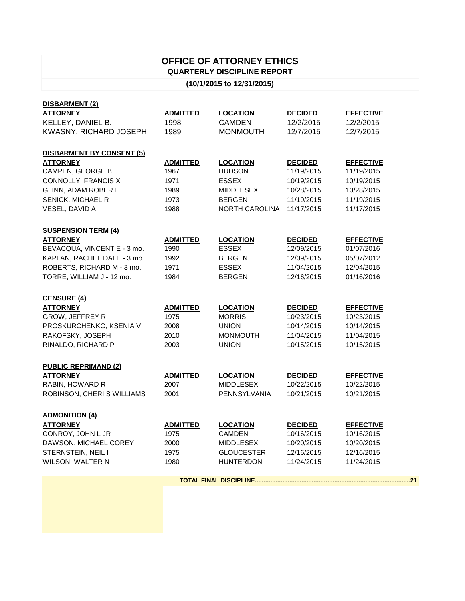## **OFFICE OF ATTORNEY ETHICS QUARTERLY DISCIPLINE REPORT**

## **(10/1/2015 to 12/31/2015)**

| DISBARMENT (2)                            |                         |                                  |                              |                                |  |  |  |
|-------------------------------------------|-------------------------|----------------------------------|------------------------------|--------------------------------|--|--|--|
| <b>ATTORNEY</b>                           | <b>ADMITTED</b>         | <b>LOCATION</b>                  | <b>DECIDED</b>               | <b>EFFECTIVE</b>               |  |  |  |
| KELLEY, DANIEL B.                         | 1998                    | <b>CAMDEN</b>                    | 12/2/2015                    | 12/2/2015                      |  |  |  |
| KWASNY, RICHARD JOSEPH                    | 1989                    | <b>MONMOUTH</b>                  | 12/7/2015                    | 12/7/2015                      |  |  |  |
|                                           |                         |                                  |                              |                                |  |  |  |
| <b>DISBARMENT BY CONSENT (5)</b>          |                         |                                  |                              |                                |  |  |  |
| <b>ATTORNEY</b>                           | <b>ADMITTED</b>         | <b>LOCATION</b>                  | <b>DECIDED</b>               | <b>EFFECTIVE</b>               |  |  |  |
| CAMPEN, GEORGE B                          | 1967                    | <b>HUDSON</b>                    | 11/19/2015                   | 11/19/2015                     |  |  |  |
| CONNOLLY, FRANCIS X                       | 1971                    | <b>ESSEX</b>                     | 10/19/2015                   | 10/19/2015                     |  |  |  |
| GLINN, ADAM ROBERT                        | 1989                    | <b>MIDDLESEX</b>                 | 10/28/2015                   | 10/28/2015                     |  |  |  |
| SENICK, MICHAEL R                         | 1973                    | <b>BERGEN</b>                    | 11/19/2015                   | 11/19/2015                     |  |  |  |
| VESEL, DAVID A                            | 1988                    | NORTH CAROLINA                   | 11/17/2015                   | 11/17/2015                     |  |  |  |
|                                           |                         |                                  |                              |                                |  |  |  |
| <b>SUSPENSION TERM (4)</b>                |                         |                                  |                              |                                |  |  |  |
| <b>ATTORNEY</b>                           | <b>ADMITTED</b>         | <b>LOCATION</b>                  | <b>DECIDED</b>               | <b>EFFECTIVE</b>               |  |  |  |
| BEVACQUA, VINCENT E - 3 mo.               | 1990                    | <b>ESSEX</b>                     | 12/09/2015                   | 01/07/2016                     |  |  |  |
| KAPLAN, RACHEL DALE - 3 mo.               | 1992                    | <b>BERGEN</b>                    | 12/09/2015                   | 05/07/2012                     |  |  |  |
| ROBERTS, RICHARD M - 3 mo.                | 1971                    | <b>ESSEX</b>                     | 11/04/2015                   | 12/04/2015                     |  |  |  |
| TORRE, WILLIAM J - 12 mo.                 | 1984                    | <b>BERGEN</b>                    | 12/16/2015                   | 01/16/2016                     |  |  |  |
|                                           |                         |                                  |                              |                                |  |  |  |
| <b>CENSURE (4)</b>                        |                         |                                  |                              |                                |  |  |  |
| <b>ATTORNEY</b><br><b>GROW, JEFFREY R</b> | <b>ADMITTED</b><br>1975 | <b>LOCATION</b><br><b>MORRIS</b> | <b>DECIDED</b><br>10/23/2015 | <b>EFFECTIVE</b><br>10/23/2015 |  |  |  |
|                                           | 2008                    | <b>UNION</b>                     | 10/14/2015                   | 10/14/2015                     |  |  |  |
| PROSKURCHENKO, KSENIA V                   |                         |                                  |                              |                                |  |  |  |
| RAKOFSKY, JOSEPH                          | 2010                    | <b>MONMOUTH</b>                  | 11/04/2015                   | 11/04/2015                     |  |  |  |
| RINALDO, RICHARD P                        | 2003                    | <b>UNION</b>                     | 10/15/2015                   | 10/15/2015                     |  |  |  |
| <b>PUBLIC REPRIMAND (2)</b>               |                         |                                  |                              |                                |  |  |  |
| <b>ATTORNEY</b>                           | <b>ADMITTED</b>         | <b>LOCATION</b>                  | <b>DECIDED</b>               | <b>EFFECTIVE</b>               |  |  |  |
| RABIN, HOWARD R                           | 2007                    | <b>MIDDLESEX</b>                 | 10/22/2015                   | 10/22/2015                     |  |  |  |
| ROBINSON, CHERI S WILLIAMS                | 2001                    | PENNSYLVANIA                     | 10/21/2015                   | 10/21/2015                     |  |  |  |
|                                           |                         |                                  |                              |                                |  |  |  |
| <b>ADMONITION (4)</b>                     |                         |                                  |                              |                                |  |  |  |
| <b>ATTORNEY</b>                           | <b>ADMITTED</b>         | <b>LOCATION</b>                  | <b>DECIDED</b>               | <b>EFFECTIVE</b>               |  |  |  |
| CONROY, JOHN L JR                         | 1975                    | <b>CAMDEN</b>                    | 10/16/2015                   | 10/16/2015                     |  |  |  |
| DAWSON, MICHAEL COREY                     | 2000                    | <b>MIDDLESEX</b>                 | 10/20/2015                   | 10/20/2015                     |  |  |  |
| STERNSTEIN, NEIL I                        | 1975                    | <b>GLOUCESTER</b>                | 12/16/2015                   | 12/16/2015                     |  |  |  |
| WILSON, WALTER N                          | 1980                    | <b>HUNTERDON</b>                 | 11/24/2015                   | 11/24/2015                     |  |  |  |
|                                           |                         |                                  |                              |                                |  |  |  |
|                                           |                         |                                  |                              |                                |  |  |  |